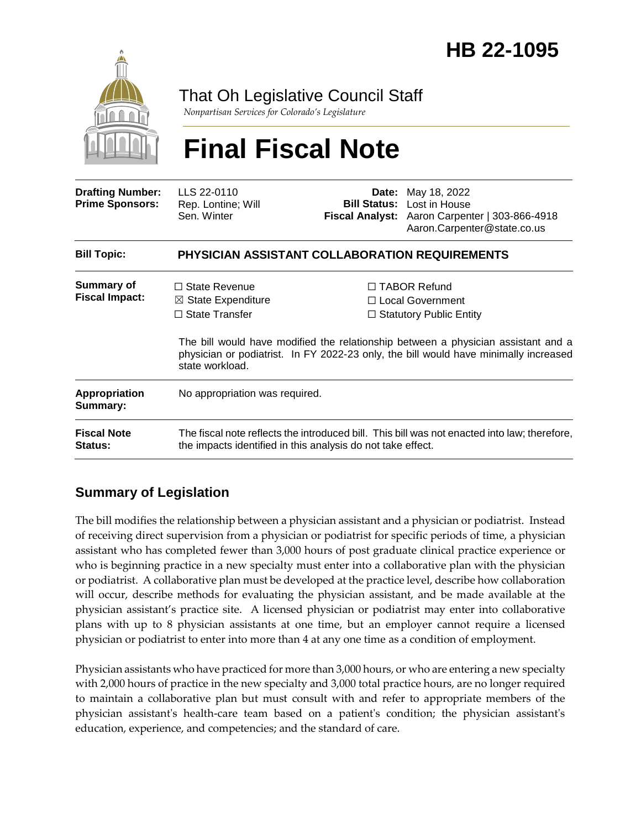

## That Oh Legislative Council Staff

*Nonpartisan Services for Colorado's Legislature*

# **Final Fiscal Note**

| <b>Drafting Number:</b><br><b>Prime Sponsors:</b> | LLS 22-0110<br>Rep. Lontine; Will<br>Sen. Winter                                                                                                                                             |  | <b>Date:</b> May 18, 2022<br><b>Bill Status:</b> Lost in House<br>Fiscal Analyst: Aaron Carpenter   303-866-4918<br>Aaron.Carpenter@state.co.us |
|---------------------------------------------------|----------------------------------------------------------------------------------------------------------------------------------------------------------------------------------------------|--|-------------------------------------------------------------------------------------------------------------------------------------------------|
| <b>Bill Topic:</b>                                | <b>PHYSICIAN ASSISTANT COLLABORATION REQUIREMENTS</b>                                                                                                                                        |  |                                                                                                                                                 |
| <b>Summary of</b><br><b>Fiscal Impact:</b>        | $\Box$ State Revenue<br>$\boxtimes$ State Expenditure<br>$\Box$ State Transfer                                                                                                               |  | $\Box$ TABOR Refund<br>$\Box$ Local Government<br>$\Box$ Statutory Public Entity                                                                |
|                                                   | The bill would have modified the relationship between a physician assistant and a<br>physician or podiatrist. In FY 2022-23 only, the bill would have minimally increased<br>state workload. |  |                                                                                                                                                 |
| <b>Appropriation</b><br>Summary:                  | No appropriation was required.                                                                                                                                                               |  |                                                                                                                                                 |
| <b>Fiscal Note</b><br><b>Status:</b>              | The fiscal note reflects the introduced bill. This bill was not enacted into law; therefore,<br>the impacts identified in this analysis do not take effect.                                  |  |                                                                                                                                                 |

### **Summary of Legislation**

The bill modifies the relationship between a physician assistant and a physician or podiatrist. Instead of receiving direct supervision from a physician or podiatrist for specific periods of time, a physician assistant who has completed fewer than 3,000 hours of post graduate clinical practice experience or who is beginning practice in a new specialty must enter into a collaborative plan with the physician or podiatrist. A collaborative plan must be developed at the practice level, describe how collaboration will occur, describe methods for evaluating the physician assistant, and be made available at the physician assistant's practice site. A licensed physician or podiatrist may enter into collaborative plans with up to 8 physician assistants at one time, but an employer cannot require a licensed physician or podiatrist to enter into more than 4 at any one time as a condition of employment.

Physician assistants who have practiced for more than 3,000 hours, or who are entering a new specialty with 2,000 hours of practice in the new specialty and 3,000 total practice hours, are no longer required to maintain a collaborative plan but must consult with and refer to appropriate members of the physician assistant's health-care team based on a patient's condition; the physician assistant's education, experience, and competencies; and the standard of care.